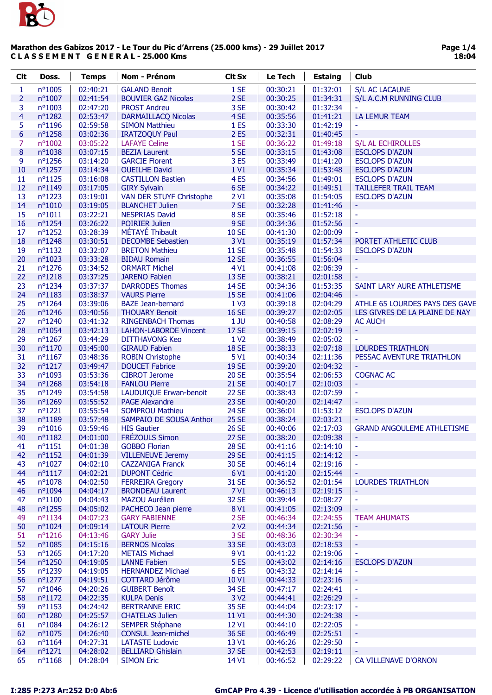

| <b>Clt</b>              | Doss.               | <b>Temps</b>         | Nom - Prénom                                    | <b>Clt Sx</b>    | Le Tech              | <b>Estaing</b>       | Club                              |
|-------------------------|---------------------|----------------------|-------------------------------------------------|------------------|----------------------|----------------------|-----------------------------------|
| 1                       | nº1005              | 02:40:21             | <b>GALAND Benoit</b>                            | 1 SE             | 00:30:21             | 01:32:01             | <b>S/L AC LACAUNE</b>             |
| $\overline{2}$          | nº1007              | 02:41:54             | <b>BOUVIER GAZ Nicolas</b>                      | 2 SE             | 00:30:25             | 01:34:31             | S/L A.C.M RUNNING CLUB            |
| 3                       | nº1003              | 02:47:20             | <b>PROST Andreu</b>                             | 3 SE             | 00:30:42             | 01:32:34             |                                   |
| $\overline{\mathbf{4}}$ | nº1282              | 02:53:47             | <b>DARMAILLACQ Nicolas</b>                      | 4 SE             | 00:35:56             | 01:41:21             | <b>LA LEMUR TEAM</b>              |
| 5                       | nº1196              | 02:59:58             | <b>SIMON Matthieu</b>                           | 1 <sub>ES</sub>  | 00:33:30             | 01:42:19             |                                   |
| 6                       | nº1258              | 03:02:36             | <b>IRATZOQUY Paul</b>                           | 2ES              | 00:32:31             | 01:40:45             |                                   |
| 7                       | nº1002              | 03:05:22             | <b>LAFAYE Celine</b>                            | 1 SE             | 00:36:22             | 01:49:18             | S/L AL ECHIROLLES                 |
| $\bf 8$                 | nº1038              | 03:07:15             | <b>BEZIA Laurent</b>                            | 5 SE             | 00:33:15             | 01:43:08             | <b>ESCLOPS D'AZUN</b>             |
| 9                       | nº1256              | 03:14:20             | <b>GARCIE Florent</b>                           | 3ES              | 00:33:49             | 01:41:20             | <b>ESCLOPS D'AZUN</b>             |
| 10                      | nº1257              | 03:14:34             | <b>OUEILHE David</b>                            | 1 V1             | 00:35:34             | 01:53:48             | <b>ESCLOPS D'AZUN</b>             |
| 11                      | $n^o$ 1125          | 03:16:08             | <b>CASTILLON Bastien</b>                        | 4 <sub>ES</sub>  | 00:34:56             | 01:49:01             | <b>ESCLOPS D'AZUN</b>             |
| 12                      | nº1149              | 03:17:05             | <b>GIRY Sylvain</b>                             | 6 SE             | 00:34:22             | 01:49:51             | <b>TAILLEFER TRAIL TEAM</b>       |
| 13                      | nº1223              | 03:19:01             | VAN DER STUYF Christophe                        | 2 <sub>V1</sub>  | 00:35:08             | 01:54:05             | <b>ESCLOPS D'AZUN</b>             |
| 14                      | $n^{\circ}1010$     | 03:19:05             | <b>BLANCHET Julien</b>                          | 7 SE             | 00:32:28             | 01:41:46             |                                   |
| 15                      | $n^{\circ}1011$     | 03:22:21             | <b>NESPRIAS David</b>                           | 8 SE             | 00:35:46             | 01:52:18             | ÷                                 |
| 16                      | nº1254              | 03:26:22             | <b>POIRIER Julien</b>                           | 9 SE             | 00:34:36             | 01:52:56             | ÷,                                |
| 17                      | nº1252              | 03:28:39             | MÉTAYÉ Thibault                                 | <b>10 SE</b>     | 00:41:30             | 02:00:09             | $\bar{\phantom{a}}$               |
| 18                      | nº1248              | 03:30:51             | <b>DECOMBE Sebastien</b>                        | 3 V1             | 00:35:19             | 01:57:34             | PORTET ATHLETIC CLUB              |
| 19                      | nº1132              | 03:32:07             | <b>BRETON Mathieu</b>                           | <b>11 SE</b>     | 00:35:48             | 01:54:33             | <b>ESCLOPS D'AZUN</b>             |
| 20                      | n°1023              | 03:33:28             | <b>BIDAU Romain</b>                             | <b>12 SE</b>     | 00:36:55             | 01:56:04             |                                   |
| 21                      | nº1276              | 03:34:52             | <b>ORMART Michel</b>                            | 4 V1             | 00:41:08             | 02:06:39             | ä,                                |
| 22                      | $n^o$ 1218          | 03:37:25             | <b>JARENO Fabien</b>                            | 13 SE            | 00:38:21             | 02:01:58             |                                   |
| 23                      | nº1234              | 03:37:37             | <b>DARRODES Thomas</b>                          | <b>14 SE</b>     | 00:34:36             | 01:53:35             | SAINT LARY AURE ATHLETISME        |
| 24                      | $n^o$ 1183          | 03:38:37             | <b>VAURS Pierre</b>                             | <b>15 SE</b>     | 00:41:06             | 02:04:46             |                                   |
| 25                      | nº1264              | 03:39:06             | <b>BAZE Jean-bernard</b>                        | 1 <sup>2</sup>   | 00:39:18             | 02:04:29             | ATHLE 65 LOURDES PAYS DES GAVE    |
| 26                      | nº1246              | 03:40:56             | <b>THOUARY Benoit</b>                           | <b>16 SE</b>     | 00:39:27             | 02:02:05             | LES GIVRES DE LA PLAINE DE NAY    |
| 27                      | nº1240              | 03:41:32             | <b>RINGENBACH Thomas</b>                        | $1$ JU           | 00:40:58             | 02:08:29             | <b>AC AUCH</b>                    |
| 28                      | nº1054              | 03:42:13             | <b>LAHON-LABORDE Vincent</b>                    | <b>17 SE</b>     | 00:39:15             | 02:02:19             | ۰                                 |
| 29                      | nº1267              | 03:44:29             | <b>DITTHAVONG Keo</b>                           | 1 V <sub>2</sub> | 00:38:49             | 02:05:02             |                                   |
| 30                      | nº1170              | 03:45:00             | <b>GIRAUD Fabien</b>                            | <b>18 SE</b>     | 00:38:33             | 02:07:18             | <b>LOURDES TRIATHLON</b>          |
| 31                      | nº1167              | 03:48:36             | <b>ROBIN Christophe</b>                         | 5 V1             | 00:40:34             | 02:11:36             | PESSAC AVENTURE TRIATHLON         |
| 32                      | $n^o$ 1217          | 03:49:47             | <b>DOUCET Fabrice</b>                           | <b>19 SE</b>     | 00:39:20             | 02:04:32             |                                   |
| 33                      | n°1093              | 03:53:36             | <b>CIBROT Jerome</b>                            | <b>20 SE</b>     | 00:35:54             | 02:06:53             | <b>COGNAC AC</b>                  |
| 34                      | nº1268              | 03:54:18             | <b>FANLOU Pierre</b>                            | <b>21 SE</b>     | 00:40:17             | 02:10:03             | ٠                                 |
| 35                      | nº1249              | 03:54:58             | LAUDUIQUE Erwan-benoit                          | <b>22 SE</b>     | 00:38:43             | 02:07:59             | ä,                                |
| 36                      | nº1269              | 03:55:52             | <b>PAGE Alexandre</b>                           | <b>23 SE</b>     | 00:40:20             | 02:14:47             |                                   |
| 37                      | $n^{\circ}1221$     | 03:55:54             | <b>SOMPROU Mathieu</b>                          | <b>24 SE</b>     | 00:36:01             | 01:53:12             | <b>ESCLOPS D'AZUN</b>             |
| 38                      | nº1189              | 03:57:48             | SAMPAIO DE SOUSA Anthor                         | <b>25 SE</b>     | 00:38:24             | 02:03:21             |                                   |
| 39                      | $n^o$ 1016          | 03:59:46             | <b>HIS Gautier</b>                              | <b>26 SE</b>     | 00:40:06             | 02:17:03             | <b>GRAND ANGOULEME ATHLETISME</b> |
| 40                      | $n^{\circ}1182$     | 04:01:00             | <b>FRÉZOULS Simon</b>                           | <b>27 SE</b>     | 00:38:20             | 02:09:38             | Ξ                                 |
| 41                      | $n^o$ 1151          | 04:01:38             | <b>GOBBO Florian</b>                            | <b>28 SE</b>     | 00:41:16             | 02:14:10             | ÷                                 |
| 42                      | $n^o$ 1152          | 04:01:39             | <b>VILLENEUVE Jeremy</b>                        | <b>29 SE</b>     | 00:41:15             | 02:14:12             | ÷,                                |
| 43                      | nº1027              | 04:02:10             | <b>CAZZANIGA Franck</b>                         | 30 SE            | 00:46:14             | 02:19:16             | $\blacksquare$                    |
| 44<br>45                | $n^o1117$<br>nº1078 | 04:02:21<br>04:02:50 | <b>DUPONT Cédric</b><br><b>FERREIRA Gregory</b> | 6 V1<br>31 SE    | 00:41:20<br>00:36:52 | 02:15:44<br>02:01:54 | <b>LOURDES TRIATHLON</b>          |
| 46                      | nº1094              | 04:04:17             | <b>BRONDEAU Laurent</b>                         | 7 V1             | 00:46:13             | 02:19:15             |                                   |
| 47                      | $n^o$ 1100          | 04:04:43             | <b>MAZOU Aurélien</b>                           | 32 SE            | 00:39:44             | 02:08:27             | $\blacksquare$                    |
| 48                      | nº1255              | 04:05:02             | PACHECO Jean pierre                             | 8 V1             | 00:41:05             | 02:13:09             |                                   |
| 49                      | nº1134              | 04:07:23             | <b>GARY FABIENNE</b>                            | 2 SE             | 00:46:34             | 02:24:55             | <b>TEAM AHUMATS</b>               |
| 50                      | nº1024              | 04:09:14             | <b>LATOUR Pierre</b>                            | 2 <sub>V2</sub>  | 00:44:34             | 02:21:56             |                                   |
| 51                      | $n^o$ 1216          | 04:13:46             | <b>GARY Julie</b>                               | 3 SE             | 00:48:36             | 02:30:34             | $\blacksquare$                    |
| 52                      | nº1085              | 04:15:16             | <b>BERNOS Nicolas</b>                           | 33 SE            | 00:43:03             | 02:18:53             | ÷,                                |
| 53                      | $n^o$ 1265          | 04:17:20             | <b>METAIS Michael</b>                           | 9 V1             | 00:41:22             | 02:19:06             |                                   |
| 54                      | nº1250              | 04:19:05             | <b>LANNE Fabien</b>                             | 5ES              | 00:43:02             | 02:14:16             | <b>ESCLOPS D'AZUN</b>             |
| 55                      | nº1239              | 04:19:05             | <b>HERNANDEZ Michael</b>                        | 6ES              | 00:43:32             | 02:14:14             | ÷                                 |
| 56                      | nº1277              | 04:19:51             | COTTARD Jérôme                                  | 10 <sub>V1</sub> | 00:44:33             | 02:23:16             | ÷,                                |
| 57                      | nº1046              | 04:20:26             | <b>GUIBERT Benoît</b>                           | 34 SE            | 00:47:17             | 02:24:41             | $\blacksquare$                    |
| 58                      | $n^o$ 1172          | 04:22:35             | <b>KULPA Denis</b>                              | 3 V <sub>2</sub> | 00:44:41             | 02:26:29             | Ξ                                 |
| 59                      | $n^o$ 1153          | 04:24:42             | <b>BERTRANNE ERIC</b>                           | 35 SE            | 00:44:04             | 02:23:17             | $\equiv$                          |
| 60                      | nº1280              | 04:25:57             | <b>CHATELAS Julien</b>                          | 11 V1            | 00:44:30             | 02:24:38             | ٠                                 |
| 61                      | nº1084              | 04:26:12             | <b>SEMPER Stéphane</b>                          | 12 V1            | 00:44:10             | 02:22:05             | $\blacksquare$                    |
| 62                      | nº1075              | 04:26:40             | <b>CONSUL Jean-michel</b>                       | 36 SE            | 00:46:49             | 02:25:51             | Ξ                                 |
| 63                      | $n^o$ 1164          | 04:27:31             | <b>LATASTE Ludovic</b>                          | 13 V1            | 00:46:26             | 02:29:50             | $\overline{\phantom{a}}$          |
| 64                      | $n^{\circ}1271$     | 04:28:02             | <b>BELLIARD Ghislain</b>                        | 37 SE            | 00:42:53             | 02:19:11             |                                   |
| 65                      | $n^o$ 1168          | 04:28:04             | <b>SIMON Eric</b>                               | 14 V1            | 00:46:52             | 02:29:22             | <b>CA VILLENAVE D'ORNON</b>       |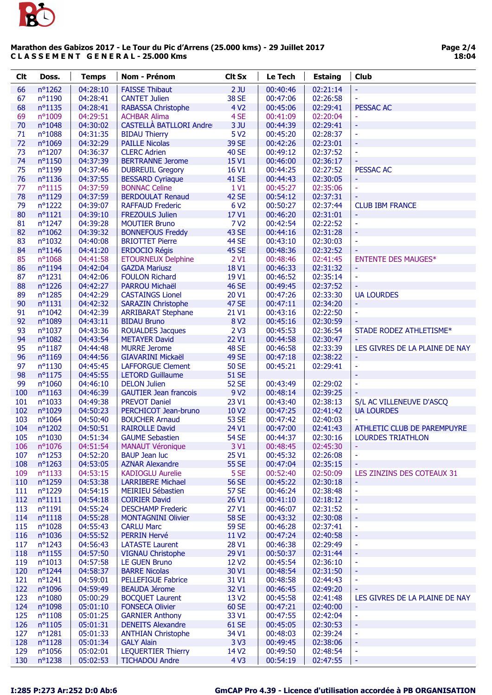

| <b>Clt</b> | Doss.                | <b>Temps</b>         | Nom - Prénom                                        | <b>Clt Sx</b>                    | Le Tech              | <b>Estaing</b>       | <b>Club</b>                    |
|------------|----------------------|----------------------|-----------------------------------------------------|----------------------------------|----------------------|----------------------|--------------------------------|
| 66         | nº1262               | 04:28:10             | <b>FAISSE Thibaut</b>                               | $2$ JU                           | 00:40:46             | 02:21:14             | ÷                              |
| 67         | nº1190               | 04:28:41             | <b>CANTET Julien</b>                                | <b>38 SE</b>                     | 00:47:06             | 02:26:58             | ä,                             |
| 68         | nº1135               | 04:28:41             | <b>RABASSA Christophe</b>                           | 4 V <sub>2</sub>                 | 00:45:06             | 02:29:41             | <b>PESSAC AC</b>               |
| 69         | n°1009               | 04:29:51             | <b>ACHBAR Alima</b>                                 | 4 SE                             | 00:41:09             | 02:20:04             |                                |
| 70         | nº1048               | 04:30:02             | <b>CASTELLÀ BATLLORI Andre</b>                      | 3JU                              | 00:44:39             | 02:29:41             | Ξ                              |
| 71         | nº1088               | 04:31:35             | <b>BIDAU Thierry</b>                                | 5 V <sub>2</sub>                 | 00:45:20             | 02:28:37             | $\blacksquare$                 |
| 72         | n°1069               | 04:32:29             | <b>PAILLE Nicolas</b>                               | 39 SE                            | 00:42:26             | 02:23:01             | $\Box$                         |
| 73         | nº1207               | 04:36:37             | <b>CLERC Adrien</b>                                 | <b>40 SE</b>                     | 00:49:12             | 02:37:52             | ä,                             |
| 74         | n°1150               | 04:37:39             | <b>BERTRANNE Jerome</b>                             | 15 V1                            | 00:46:00             | 02:36:17             |                                |
| 75         | n°1199               | 04:37:46             | <b>DUBREUIL Gregory</b>                             | 16 V1                            | 00:44:25             | 02:27:52             | PESSAC AC                      |
| 76         | nº1136               | 04:37:55             | <b>BESSARD Cyriaque</b>                             | <b>41 SE</b>                     | 00:44:43             | 02:30:05             | ۳                              |
| 77         | $n^o$ 1115           | 04:37:59             | <b>BONNAC Celine</b>                                | 1 V1                             | 00:45:27             | 02:35:06             | $\Box$                         |
| 78         | n°1129               | 04:37:59             | <b>BERDOULAT Renaud</b>                             | <b>42 SE</b>                     | 00:54:12             | 02:37:31             |                                |
| 79         | nº1222               | 04:39:07             | <b>RAFFAUD Frederic</b>                             | 6 V <sub>2</sub>                 | 00:50:27             | 02:37:44             | <b>CLUB IBM FRANCE</b>         |
| 80         | $n^o$ 1121           | 04:39:10             | <b>FREZOULS Julien</b>                              | 17 V1                            | 00:46:20             | 02:31:01             |                                |
| 81         | nº1247               | 04:39:28             | <b>MOUTIER Bruno</b>                                | 7 V <sub>2</sub>                 | 00:42:54             | 02:22:52             | ÷                              |
| 82         | $n^{\circ}1062$      | 04:39:32             | <b>BONNEFOUS Freddy</b>                             | <b>43 SE</b>                     | 00:44:16             | 02:31:28             | $\Box$                         |
| 83         | $n^{\circ}1032$      | 04:40:08             | <b>BRIOTTET Pierre</b>                              | <b>44 SE</b>                     | 00:43:10             | 02:30:03             | ä,                             |
| 84         | nº1146               | 04:41:20             | <b>ERDOCIO Régis</b>                                | <b>45 SE</b>                     | 00:48:36             | 02:32:52             |                                |
| 85         | nº1068               | 04:41:58             | <b>ETOURNEUX Delphine</b>                           | 2 <sub>V1</sub>                  | 00:48:46             | 02:41:45             | <b>ENTENTE DES MAUGES*</b>     |
| 86         | nº1194               | 04:42:04             | <b>GAZDA Mariusz</b>                                | 18 V1                            | 00:46:33             | 02:31:32             | ÷                              |
| 87         | $n^o$ 1231           | 04:42:06             | <b>FOULON Richard</b>                               | 19 V1                            | 00:46:52             | 02:35:14             | $\blacksquare$                 |
| 88         | nº1226               | 04:42:27             | <b>PARROU Michaël</b>                               | <b>46 SE</b>                     | 00:49:45             | 02:37:52             |                                |
| 89         | nº1285               | 04:42:29             | <b>CASTAINGS Lionel</b>                             | 20 V1                            | 00:47:26             | 02:33:30             | <b>UA LOURDES</b>              |
| 90         | $n^o$ 1131           | 04:42:32             | <b>SARAZIN Christophe</b>                           | <b>47 SE</b>                     | 00:47:11             | 02:34:20             | ۳                              |
| 91         | nº1042               | 04:42:39             | <b>ARRIBARAT Stephane</b>                           | 21 V1                            | 00:43:16             | 02:22:50             | $\blacksquare$                 |
| 92         | n°1089               | 04:43:11             | <b>BIDAU Bruno</b>                                  | 8 V <sub>2</sub>                 | 00:45:16             | 02:30:59             |                                |
| 93         | $n^{\circ}1037$      | 04:43:36             | <b>ROUALDES Jacques</b>                             | 2 <sub>V3</sub>                  | 00:45:53             | 02:36:54             | STADE RODEZ ATHLETISME*        |
| 94         | nº1082               | 04:43:54             | <b>METAYER David</b>                                | 22 V1                            | 00:44:58             | 02:30:47             | ٠                              |
| 95         | nº1187               | 04:44:48             | <b>MURRE Jerome</b>                                 | <b>48 SE</b>                     | 00:46:58             | 02:33:39             | LES GIVRES DE LA PLAINE DE NAY |
| 96         | n°1169               | 04:44:56             | <b>GIAVARINI Mickaël</b>                            | <b>49 SE</b>                     | 00:47:18             | 02:38:22             | ۳                              |
| 97         | nº1130               | 04:45:45             | <b>LAFFORGUE Clement</b>                            | <b>50 SE</b>                     | 00:45:21             | 02:29:41             | $\blacksquare$                 |
| 98         | nº1175               | 04:45:55             | <b>LETORD Guillaume</b>                             | <b>51 SE</b>                     |                      |                      | ÷                              |
| 99<br>100  | nº1060<br>$n^o$ 1163 | 04:46:10<br>04:46:39 | <b>DELON Julien</b><br><b>GAUTIER Jean francois</b> | <b>52 SE</b><br>9 V <sub>2</sub> | 00:43:49<br>00:48:14 | 02:29:02<br>02:39:25 | ä,                             |
| 101        | nº1033               | 04:49:38             | <b>PREVOT Daniel</b>                                | 23 V1                            | 00:43:40             | 02:38:13             | S/L AC VILLENEUVE D'ASCQ       |
| 102        | nº1029               | 04:50:23             | PERCHICOT Jean-bruno                                | 10 <sub>V2</sub>                 | 00:47:25             | 02:41:42             | <b>UA LOURDES</b>              |
| 103        | $n^o$ 1064           | 04:50:40             | <b>BOUCHER Arnaud</b>                               | 53 SE                            | 00:47:42             | 02:40:03             |                                |
| 104        | nº1202               | 04:50:51             | <b>RAIROLLE David</b>                               | 24 V1                            | 00:47:00             | 02:41:43             | ATHLETIC CLUB DE PAREMPUYRE    |
| 105        | $n^{\circ}1030$      | 04:51:34             | <b>GAUME Sebastien</b>                              | <b>54 SE</b>                     | 00:44:37             | 02:30:16             | <b>LOURDES TRIATHLON</b>       |
| 106        | nº1076               | 04:51:54             | <b>MANAUT Véronique</b>                             | 3 V1                             | 00:48:45             | 02:45:30             | ÷                              |
| 107        | $n^o$ 1253           | 04:52:20             | <b>BAUP Jean luc</b>                                | 25 V1                            | 00:45:32             | 02:26:08             | ä,                             |
| 108        | nº1263               | 04:53:05             | <b>AZNAR Alexandre</b>                              | <b>55 SE</b>                     | 00:47:04             | 02:35:15             |                                |
| 109        | $n^o$ 1133           | 04:53:15             | <b>KADIOGLU Aurelie</b>                             | 5 SE                             | 00:52:40             | 02:50:09             | LES ZINZINS DES COTEAUX 31     |
| 110        | nº1259               | 04:53:38             | <b>LARRIBERE Michael</b>                            | <b>56 SE</b>                     | 00:45:22             | 02:30:18             |                                |
| 111        | nº1229               | 04:54:15             | <b>MEIRIEU Sébastien</b>                            | <b>57 SE</b>                     | 00:46:24             | 02:38:48             | ÷                              |
| 112        | $n^o$ 1111           | 04:54:18             | <b>COIRIER David</b>                                | 26 V1                            | 00:41:10             | 02:18:12             | Η                              |
| 113        | $n^o$ 1191           | 04:55:24             | <b>DESCHAMP Frederic</b>                            | 27 V1                            | 00:46:07             | 02:31:52             | ÷                              |
| 114        | $n^o$ 1118           | 04:55:28             | <b>MONTAGNINI Olivier</b>                           | <b>58 SE</b>                     | 00:43:32             | 02:30:08             | ۳                              |
| 115        | nº1028               | 04:55:43             | <b>CARLU Marc</b>                                   | <b>59 SE</b>                     | 00:46:28             | 02:37:41             | ÷                              |
| 116        | nº1036               | 04:55:52             | <b>PERRIN Hervé</b>                                 | 11 V <sub>2</sub>                | 00:47:24             | 02:40:58             | Ξ                              |
| 117        | $n^o$ 1243           | 04:56:43             | <b>LATASTE Laurent</b>                              | 28 V1                            | 00:46:38             | 02:29:49             | ÷                              |
| 118        | $n^o$ 1155           | 04:57:50             | <b>VIGNAU Christophe</b>                            | 29 V1                            | 00:50:37             | 02:31:44             | ۳                              |
| 119        | $n^o$ 1013           | 04:57:58             | <b>LE GUEN Bruno</b>                                | 12 V <sub>2</sub>                | 00:45:54             | 02:36:10             | ÷                              |
| 120        | nº1244               | 04:58:37             | <b>BARRE Nicolas</b>                                | 30 V1                            | 00:48:54             | 02:31:50             | ۰                              |
| 121        | nº1241               | 04:59:01             | <b>PELLEFIGUE Fabrice</b>                           | 31 V1                            | 00:48:58             | 02:44:43             | ÷                              |
| 122        | nº1096               | 04:59:49             | <b>BEAUDA Jérome</b>                                | 32 V1                            | 00:46:45             | 02:49:20             |                                |
| 123        | nº1080               | 05:00:29             | <b>BOCQUET Laurent</b>                              | 13 V <sub>2</sub>                | 00:45:58             | 02:41:48             | LES GIVRES DE LA PLAINE DE NAY |
| 124        | nº1098               | 05:01:10             | <b>FONSECA Olivier</b>                              | 60 SE                            | 00:47:21             | 02:40:00             |                                |
| 125        | $n^o$ 1108           | 05:01:25             | <b>GARNIER Anthony</b>                              | 33 V1                            | 00:47:55             | 02:42:04             | ÷                              |
| 126        | $n^o$ 1105           | 05:01:31             | <b>DENEITS Alexandre</b>                            | 61 SE                            | 00:45:05             | 02:30:53             | Ξ                              |
| 127        | $n^o$ 1281           | 05:01:33             | <b>ANTHIAN Christophe</b>                           | 34 V1                            | 00:48:03             | 02:39:24             | ÷                              |
| 128        | $n^o$ 1128           | 05:01:34             | <b>GALY Alain</b>                                   | 3 V3                             | 00:49:45             | 02:38:06             | Η                              |
| 129        | $n^{\circ}1056$      | 05:02:01             | <b>LEQUERTIER Thierry</b>                           | 14 V <sub>2</sub>                | 00:49:50             | 02:48:54             | ۰                              |
| 130        | nº1238               | 05:02:53             | <b>TICHADOU Andre</b>                               | 4 V3                             | 00:54:19             | 02:47:55             | ٠                              |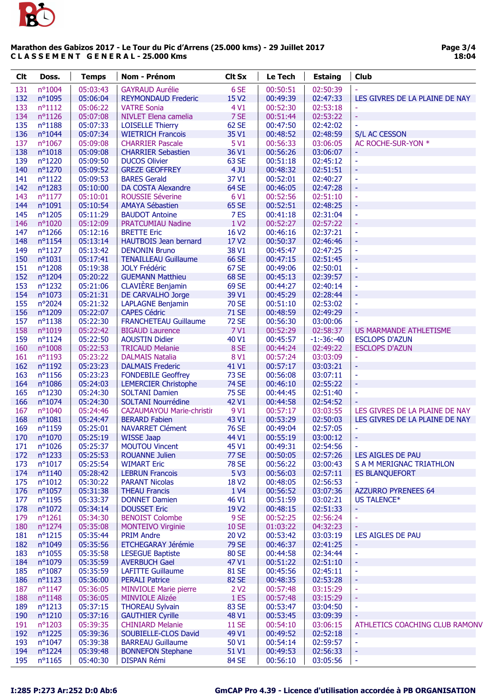

| <b>Clt</b> | Doss.            | <b>Temps</b> | <b>Nom - Prénom</b>              | <b>Clt Sx</b>     | Le Tech  | <b>Estaing</b> | Club                           |
|------------|------------------|--------------|----------------------------------|-------------------|----------|----------------|--------------------------------|
| 131        | nº1004           | 05:03:43     | <b>GAYRAUD Aurélie</b>           | 6 SE              | 00:50:51 | 02:50:39       |                                |
| 132        | nº1095           | 05:06:04     | <b>REYMONDAUD Frederic</b>       | 15 V <sub>2</sub> | 00:49:39 | 02:47:33       | LES GIVRES DE LA PLAINE DE NAY |
| 133        | $n^o1112$        | 05:06:22     | <b>VATRE Sonia</b>               | 4 V1              | 00:52:30 | 02:53:18       |                                |
| 134        | $n^o$ 1126       | 05:07:08     | NIVLET Elena camelia             | 7 SE              | 00:51:44 | 02:53:22       | $\equiv$                       |
| 135        | $n^o$ 1188       | 05:07:33     | <b>LOISELLE Thierry</b>          | 62 SE             | 00:47:50 | 02:42:02       |                                |
| 136        | nº1044           | 05:07:34     | <b>WIETRICH Francois</b>         | 35 V1             | 00:48:52 | 02:48:59       | S/L AC CESSON                  |
| 137        | $n^{\circ}1067$  | 05:09:08     | <b>CHARRIER Pascale</b>          | 5 V1              | 00:56:33 | 03:06:05       | AC ROCHE-SUR-YON *             |
| 138        | $n^o$ 1018       | 05:09:08     | <b>CHARRIER Sebastien</b>        | 36 V1             | 00:56:26 | 03:06:07       |                                |
| 139        | nº1220           | 05:09:50     | <b>DUCOS Olivier</b>             | 63 SE             | 00:51:18 | 02:45:12       |                                |
| 140        | nº1270           | 05:09:52     | <b>GREZE GEOFFREY</b>            | 4JU               | 00:48:32 | 02:51:51       | $\overline{\phantom{a}}$       |
| 141        | $n^o$ 1122       | 05:09:53     | <b>BARES Gerald</b>              | 37 V1             | 00:52:01 | 02:40:27       | $\sim$                         |
| 142        | nº1283           | 05:10:00     | DA COSTA Alexandre               | <b>64 SE</b>      | 00:46:05 | 02:47:28       | Ξ                              |
| 143        | $n^o$ 1177       | 05:10:01     | <b>ROUSSIE Séverine</b>          | 6 V1              | 00:52:56 | 02:51:10       | $\sim$                         |
| 144        | n°1091           | 05:10:54     | <b>AMAYA Sébastien</b>           | 65 SE             | 00:52:51 | 02:48:25       | $\overline{\phantom{a}}$       |
| 145        | $n^o$ 1205       | 05:11:29     | <b>BAUDOT Antoine</b>            | 7ES               | 00:41:18 | 02:31:04       | $\equiv$                       |
| 146        | nº1020           | 05:12:09     | <b>PRATCUMIAU Nadine</b>         | 1 V <sub>2</sub>  | 00:52:27 | 02:57:22       | ÷,                             |
| 147        | $n^o$ 1266       | 05:12:16     | <b>BRETTE Eric</b>               | 16 V <sub>2</sub> | 00:46:16 | 02:37:21       | $\equiv$                       |
| 148        | $n^o$ 1154       | 05:13:14     | <b>HAUTBOIS Jean bernard</b>     | 17 V <sub>2</sub> | 00:50:37 | 02:46:46       | Ξ                              |
| 149        | $n^o$ 1127       | 05:13:42     | <b>DENONIN Bruno</b>             | 38 V1             | 00:45:47 | 02:47:25       | $\sim$                         |
| 150        | $n^o$ 1031       | 05:17:41     | <b>TENAILLEAU Guillaume</b>      | 66 SE             | 00:47:15 | 02:51:45       | $\overline{\phantom{a}}$       |
| 151        | nº1208           | 05:19:38     | <b>JOLY Frédéric</b>             | 67 SE             | 00:49:06 | 02:50:01       | $\equiv$                       |
| 152        | nº1204           | 05:20:22     | <b>GUEMANN Matthieu</b>          | 68 SE             | 00:45:13 | 02:39:57       | $\equiv$                       |
| 153        | nº1232           | 05:21:06     | <b>CLAVIÈRE Benjamin</b>         | 69 SE             | 00:44:27 | 02:40:14       | $\overline{\phantom{a}}$       |
| 154        | nº1073           | 05:21:31     | DE CARVALHO Jorge                | 39 V1             | 00:45:29 | 02:28:44       | ÷                              |
| 155        | nº2024           | 05:21:32     | <b>LAPLAGNE Benjamin</b>         | <b>70 SE</b>      | 00:51:10 | 02:53:02       |                                |
| 156        | nº1209           | 05:22:07     | <b>CAPES Cédric</b>              | 71 SE             | 00:48:59 | 02:49:29       |                                |
| 157        | $n^o$ 1138       | 05:22:30     | <b>FRANCHETEAU Guillaume</b>     | <b>72 SE</b>      | 00:56:30 | 03:00:06       |                                |
| 158        | nº1019           | 05:22:42     | <b>BIGAUD Laurence</b>           | 7 V1              | 00:52:29 | 02:58:37       | US MARMANDE ATHLETISME         |
| 159        | $n^o$ 1124       | 05:22:50     | <b>AOUSTIN Didier</b>            | 40 V1             | 00:45:57 | $-1:-36:-40$   | <b>ESCLOPS D'AZUN</b>          |
| 160        | $n^{\circ}1008$  | 05:22:53     | <b>TRICAUD Melanie</b>           | 8 SE              | 00:44:24 | 02:49:22       | <b>ESCLOPS D'AZUN</b>          |
| 161        | $n^o$ 1193       | 05:23:22     | <b>DALMAIS Natalia</b>           | 8 V1              | 00:57:24 | 03:03:09       |                                |
| 162        | nº1192           | 05:23:23     | <b>DALMAIS Frederic</b>          | 41 V1             | 00:57:17 | 03:03:21       | $\omega$                       |
| 163        | $n^o$ 1156       | 05:23:23     | <b>FONDEBILE Geoffrey</b>        | <b>73 SE</b>      | 00:56:08 | 03:07:11       | $\overline{\phantom{a}}$       |
| 164        | nº1086           | 05:24:03     | <b>LEMERCIER Christophe</b>      | <b>74 SE</b>      | 00:46:10 | 02:55:22       | $\blacksquare$                 |
| 165        | nº1230           | 05:24:30     | <b>SOLTANI Damien</b>            | <b>75 SE</b>      | 00:44:45 | 02:51:40       |                                |
| 166        | nº1074           | 05:24:30     | <b>SOLTANI Nourrédine</b>        | 42 V1             | 00:44:58 | 02:54:52       |                                |
| 167        | $n^{\circ}1040$  | 05:24:46     | <b>CAZAUMAYOU Marie-christir</b> | 9 V1              | 00:57:17 | 03:03:55       | LES GIVRES DE LA PLAINE DE NAY |
| 168        | $n^o$ 1081       | 05:24:47     | <b>BERARD Fabien</b>             | 43 V1             | 00:53:29 | 02:50:03       | LES GIVRES DE LA PLAINE DE NAY |
| 169        | $n^o$ 1159       | 05:25:01     | <b>NAVARRET Clément</b>          | <b>76 SE</b>      | 00:49:04 | 02:57:05       |                                |
| 170        | nº1070           | 05:25:19     | <b>WISSE Jaap</b>                | 44 V1             | 00:55:19 | 03:00:12       |                                |
| 171        | $n^{\circ}1026$  | 05:25:37     | <b>MOUTOU Vincent</b>            | 45 V1             | 00:49:31 | 02:54:56       |                                |
| 172        | $n^{\circ}1233$  | 05:25:53     | <b>ROUANNE Julien</b>            | <b>77 SE</b>      | 00:50:05 | 02:57:26       | LES AIGLES DE PAU              |
| 173        | $n^{\circ}1017$  | 05:25:54     | <b>WIMART Eric</b>               | <b>78 SE</b>      | 00:56:22 | 03:00:43       | S A M MERIGNAC TRIATHLON       |
| 174        | $n^{\circ}1140$  | 05:28:42     | <b>LEBRUN Francois</b>           | 5 V3              | 00:56:03 | 02:57:11       | <b>ES BLANQUEFORT</b>          |
| 175        | $n^{\circ}1012$  | 05:30:22     | <b>PARANT Nicolas</b>            | 18 V <sub>2</sub> | 00:48:05 | 02:56:53       |                                |
| 176        | $n^{\circ}1057$  | 05:31:38     | <b>THEAU Francis</b>             | 1 V4              | 00:56:52 | 03:07:36       | <b>AZZURRO PYRENEES 64</b>     |
| 177        | $n^{\circ}1195$  | 05:33:37     | <b>DONNET Damien</b>             | 46 V1             | 00:51:59 | 03:02:21       | US TALENCE*                    |
| 178        | $n^{\circ}1072$  | 05:34:14     | <b>DOUSSET Eric</b>              | 19 V <sub>2</sub> | 00:48:15 | 02:51:33       |                                |
| 179        | $n^{\circ}1261$  | 05:34:30     | <b>BENOIST Colombe</b>           | 9 SE              | 00:52:25 | 02:56:24       | $\blacksquare$                 |
| 180        | $n^{\circ}1274$  | 05:35:08     | <b>MONTEIVO Virginie</b>         | <b>10 SE</b>      | 01:03:22 | 04:32:23       |                                |
| 181        | $n^o$ 1215       | 05:35:44     | <b>PRIM Andre</b>                | 20 V <sub>2</sub> | 00:53:42 | 03:03:19       | LES AIGLES DE PAU              |
| 182        | nº1049           | 05:35:56     | ETCHEGARAY Jérémie               | <b>79 SE</b>      | 00:46:37 | 02:41:25       | $\overline{\phantom{a}}$       |
| 183        | $n^{\circ}1055$  | 05:35:58     | <b>LESEGUE Baptiste</b>          | 80 SE             | 00:44:58 | 02:34:44       | ÷                              |
| 184        | nº1079           | 05:35:59     | <b>AVERBUCH Gael</b>             | 47 V1             | 00:51:22 | 02:51:10       | $\overline{\phantom{a}}$       |
| 185        | $n^{\circ}1087$  | 05:35:59     | <b>LAFITTE Guillaume</b>         | 81 SE             | 00:45:56 | 02:45:11       |                                |
| 186        | $n^o$ 1123       | 05:36:00     | <b>PERALI Patrice</b>            | 82 SE             | 00:48:35 | 02:53:28       | $\omega$                       |
| 187        | $n^{\circ}1147$  | 05:36:05     | <b>MINVIOLE Marie pierre</b>     | 2 V <sub>2</sub>  | 00:57:48 | 03:15:29       | $\overline{\phantom{a}}$       |
| 188        | $n^o$ 1148       | 05:36:05     | <b>MINVIOLE Alizée</b>           | 1ES               | 00:57:48 | 03:15:29       | ۳                              |
| 189        | $n^o$ 1213       | 05:37:15     | <b>THOREAU Sylvain</b>           | 83 SE             | 00:53:47 | 03:04:50       | $\overline{\phantom{a}}$       |
| 190        | $n^o$ 1210       | 05:37:16     | <b>GAUTHIER Cyrille</b>          | 48 V1             | 00:53:45 | 03:09:39       |                                |
| 191        | nº1203           | 05:39:35     | <b>CHINIARD Melanie</b>          | <b>11 SE</b>      | 00:54:10 | 03:06:15       | ATHLETICS COACHING CLUB RAMONV |
| 192        | $n^{\circ}$ 1225 | 05:39:36     | SOUBIELLE-CLOS David             | 49 V1             | 00:49:52 | 02:52:18       | $\equiv$                       |
| 193        | $n^{\circ}1047$  | 05:39:38     | <b>BARREAU Guillaume</b>         | 50 V1             | 00:54:14 | 02:59:57       | $\overline{\phantom{a}}$       |
| 194        | $n^{\circ}1224$  | 05:39:48     | <b>BONNEFON Stephane</b>         | 51 V1             | 00:49:53 | 02:56:33       | ÷                              |
| 195        | $n^o$ 1165       | 05:40:30     | <b>DISPAN Rémi</b>               | 84 SE             | 00:56:10 | 03:05:56       | $\blacksquare$                 |